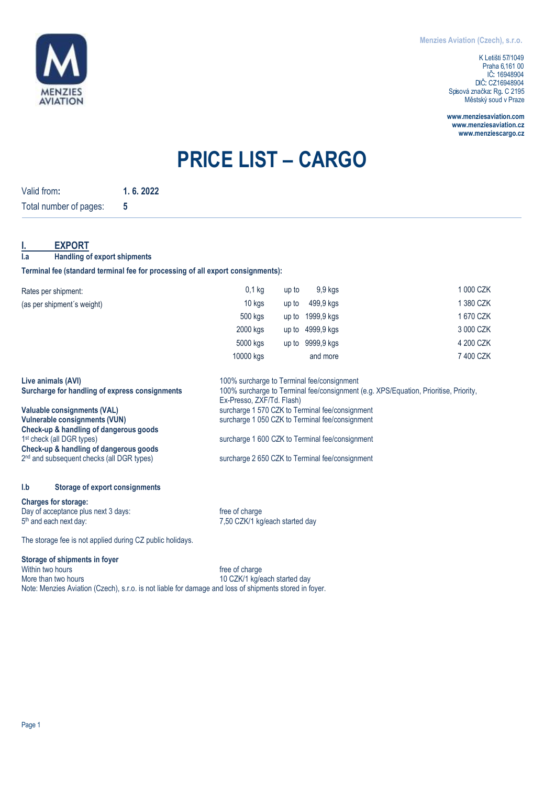

K Letišti 57/1049 Praha 6, 161 00 IČ:: 16948904 DIČ:: CZ16948904 Spisová značka: Rg. C 2195 Městský soud v Praze

**[www.menziesaviation.com](http://www.menziesaviation.com/) [www.menziesaviation.cz](http://www.menziesaviation.cz/) www.menziescargo.cz**

# **PRICE LIST – CARGO**

| Valid from:                                                                     | 1.6.2022 |                                                 |                                                                                                                   |                                                 |           |  |  |  |  |  |
|---------------------------------------------------------------------------------|----------|-------------------------------------------------|-------------------------------------------------------------------------------------------------------------------|-------------------------------------------------|-----------|--|--|--|--|--|
| Total number of pages:                                                          | 5        |                                                 |                                                                                                                   |                                                 |           |  |  |  |  |  |
| <b>EXPORT</b><br><b>Handling of export shipments</b><br>l.a                     |          |                                                 |                                                                                                                   |                                                 |           |  |  |  |  |  |
| Terminal fee (standard terminal fee for processing of all export consignments): |          |                                                 |                                                                                                                   |                                                 |           |  |  |  |  |  |
| Rates per shipment:                                                             |          | $0,1$ kg                                        | up to                                                                                                             | 9,9 kgs                                         | 1 000 CZK |  |  |  |  |  |
| (as per shipment's weight)                                                      |          | 10 kgs                                          | up to                                                                                                             | 499,9 kgs                                       | 1 380 CZK |  |  |  |  |  |
|                                                                                 |          | 500 kgs                                         | up to                                                                                                             | 1999,9 kgs                                      | 1 670 CZK |  |  |  |  |  |
|                                                                                 |          | 2000 kgs                                        | up to                                                                                                             | 4999,9 kgs                                      | 3 000 CZK |  |  |  |  |  |
|                                                                                 |          | 5000 kgs                                        | up to                                                                                                             | 9999.9 kas                                      | 4 200 CZK |  |  |  |  |  |
|                                                                                 |          | 10000 kgs                                       |                                                                                                                   | and more                                        | 7 400 CZK |  |  |  |  |  |
| Live animals (AVI)                                                              |          |                                                 |                                                                                                                   | 100% surcharge to Terminal fee/consignment      |           |  |  |  |  |  |
| Surcharge for handling of express consignments                                  |          |                                                 | 100% surcharge to Terminal fee/consignment (e.g. XPS/Equation, Prioritise, Priority,<br>Ex-Presso, ZXF/Td. Flash) |                                                 |           |  |  |  |  |  |
| <b>Valuable consignments (VAL)</b>                                              |          |                                                 | surcharge 1 570 CZK to Terminal fee/consignment                                                                   |                                                 |           |  |  |  |  |  |
| <b>Vulnerable consignments (VUN)</b><br>Check-up & handling of dangerous goods  |          | surcharge 1 050 CZK to Terminal fee/consignment |                                                                                                                   |                                                 |           |  |  |  |  |  |
| 1 <sup>st</sup> check (all DGR types)                                           |          | surcharge 1 600 CZK to Terminal fee/consignment |                                                                                                                   |                                                 |           |  |  |  |  |  |
| Check-up & handling of dangerous goods                                          |          |                                                 |                                                                                                                   |                                                 |           |  |  |  |  |  |
| 2 <sup>nd</sup> and subsequent checks (all DGR types)                           |          |                                                 |                                                                                                                   | surcharge 2 650 CZK to Terminal fee/consignment |           |  |  |  |  |  |
| l.b<br><b>Storage of export consignments</b>                                    |          |                                                 |                                                                                                                   |                                                 |           |  |  |  |  |  |
| <b>Charges for storage:</b>                                                     |          |                                                 |                                                                                                                   |                                                 |           |  |  |  |  |  |
| Day of acceptance plus next 3 days:                                             |          | free of charge                                  |                                                                                                                   |                                                 |           |  |  |  |  |  |
| 5 <sup>th</sup> and each next day:                                              |          |                                                 | 7,50 CZK/1 kg/each started day                                                                                    |                                                 |           |  |  |  |  |  |

The storage fee is not applied during CZ public holidays.

# **Storage of shipments in foyer**

Within two hours of the control of the of charge of charge More than two hours of the control of the more than two hours of the control of the more more than the more more than the more more than the more more than the mor 10 CZK/1 kg/each started day Note: Menzies Aviation (Czech), s.r.o. is not liable for damage and loss of shipments stored in foyer.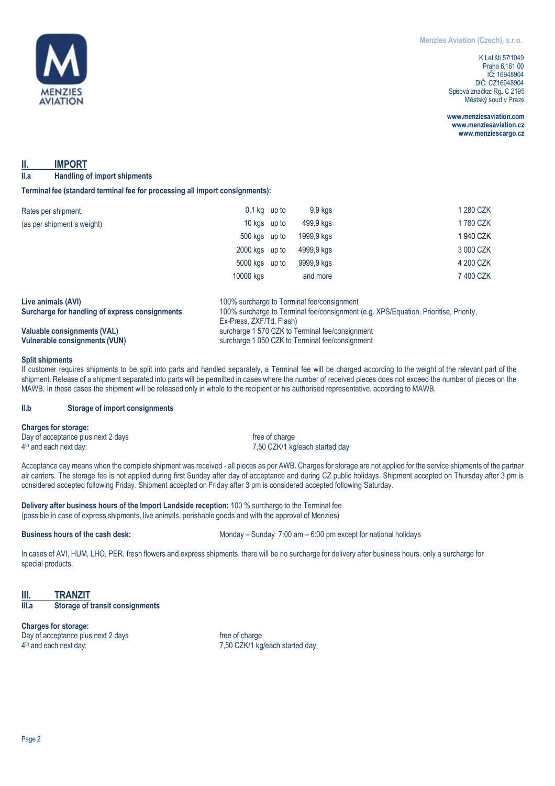

K Letišti 57/1049 Praha 6, 161 00 IČ:: 16948904 DIČ: CZ16948904 Spisová značka: Rg. C 2195 Městský soud v Praze

**[www.menziesaviation.com](http://www.menziesaviation.com/) [www.menziesaviation.cz](http://www.menziesaviation.cz/) www.menziescargo.cz**

# **II. IMPORT**

**II.a Handling of import shipments**

**Terminal fee (standard terminal fee for processing all import consignments):**

| Rates per shipment:        | $0,1$ kg up to | 9,9 kgs    | 1 280 CZK |  |
|----------------------------|----------------|------------|-----------|--|
| (as per shipment's weight) | 10 kgs up to   | 499,9 kgs  | 1780 CZK  |  |
|                            | 500 kgs up to  | 1999,9 kgs | 1940 CZK  |  |
|                            | 2000 kgs up to | 4999,9 kgs | 3 000 CZK |  |
|                            | 5000 kgs up to | 9999,9 kgs | 4 200 CZK |  |
|                            | 10000 kgs      | and more   | 7400 CZK  |  |
|                            |                |            |           |  |

| Live animals (AVI)                             | 100% surcharge to Terminal fee/consignment                                           |
|------------------------------------------------|--------------------------------------------------------------------------------------|
| Surcharge for handling of express consignments | 100% surcharge to Terminal fee/consignment (e.g. XPS/Equation, Prioritise, Priority, |
|                                                | Ex-Press, ZXF/Td, Flash)                                                             |
| Valuable consignments (VAL)                    | surcharge 1 570 CZK to Terminal fee/consignment                                      |
| Vulnerable consignments (VUN)                  | surcharge 1 050 CZK to Terminal fee/consignment                                      |

# **Split shipments**

If customer requires shipments to be split into parts and handled separately, a Terminal fee will be charged according to the weight of the relevant part of the shipment. Release of a shipment separated into parts will be permitted in cases where the number of received pieces does not exceed the number of pieces on the MAWB. In these cases the shipment will be released only in whole to the recipient or his authorised representative, according to MAWB.

### **II.b Storage of import consignments**

### **Charges for storage:**

Day of acceptance plus next 2 days free of charge free of charge 4<sup>th</sup> and each next day:

7,50 CZK/1 kg/each started day

Acceptance day means when the complete shipment was received - all pieces as per AWB. Charges for storage are not applied for the service shipments of the partner air carriers. The storage fee is not applied during first Sunday after day of acceptance and during CZ public holidays. Shipment accepted on Thursday after 3 pm is considered accepted following Friday. Shipment accepted on Friday after 3 pm is considered accepted following Saturday.

**Delivery after business hours of the Import Landside reception:** 100 % surcharge to the Terminal fee (possible in case of express shipments, live animals, perishable goods and with the approval of Menzies)

**Business hours of the cash desk:** Monday – Sunday – Sunday 7:00 am – 6:00 pm except for national holidays

In cases of AVI, HUM, LHO, PER, fresh flowers and express shipments, there will be no surcharge for delivery after business hours, only a surcharge for special products.

# **III. TRANZIT**<br> **III.a** Storage of **III.a Storage of transit consignments**

**Charges for storage:** Day of acceptance plus next 2 days free of charge 4<sup>th</sup> and each next day:

7,50 CZK/1 kg/each started day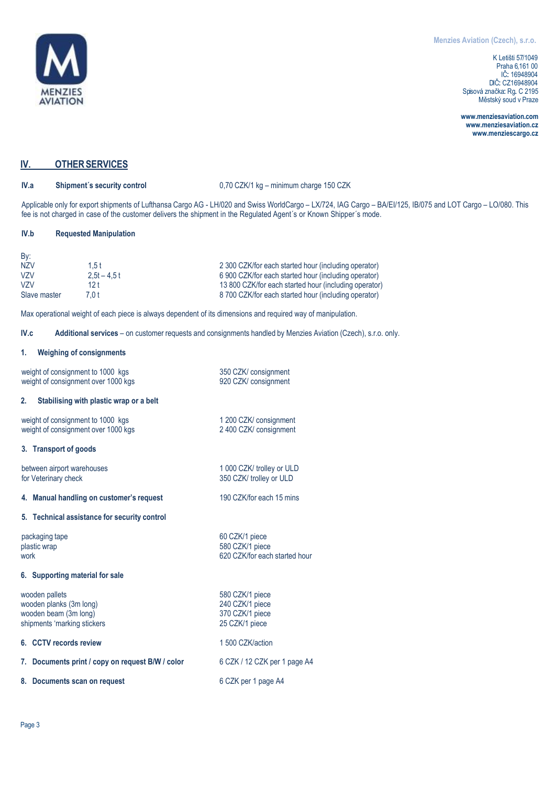

**[www.menziesaviation.com](http://www.menziesaviation.com/) [www.menziesaviation.cz](http://www.menziesaviation.cz/) www.menziescargo.cz**

# **IV. OTHERSERVICES**

**IV.a Shipment´s security control** 0,70 CZK/1 kg – minimum charge 150 CZK

Applicable only for export shipments of Lufthansa Cargo AG - LH/020 and Swiss WorldCargo – LX/724, IAG Cargo – BA/EI/125, IB/075 and LOT Cargo – LO/080. This fee is not charged in case of the customer delivers the shipment in the Regulated Agent´s or Known Shipper´s mode.

# **IV.b Requested Manipulation**

| By:              |               |                                                       |
|------------------|---------------|-------------------------------------------------------|
| NZV              | 1.5 t         | 2 300 CZK/for each started hour (including operator)  |
| V <sub>7</sub> V | $2.5t - 4.5t$ | 6 900 CZK/for each started hour (including operator)  |
| V <sub>7</sub> V | 12 t          | 13 800 CZK/for each started hour (including operator) |
| Slave master     | 7.0 t         | 8 700 CZK/for each started hour (including operator)  |

Max operational weight of each piece is always dependent of its dimensions and required way of manipulation.

**IV.c Additional services** – on customer requests and consignments handled by Menzies Aviation (Czech), s.r.o. only.

### **1. Weighing of consignments**

| weight of consignment to 1000 kgs<br>weight of consignment over 1000 kgs                          | 350 CZK/ consignment<br>920 CZK/ consignment                            |  |  |  |  |
|---------------------------------------------------------------------------------------------------|-------------------------------------------------------------------------|--|--|--|--|
| Stabilising with plastic wrap or a belt<br>2.                                                     |                                                                         |  |  |  |  |
| weight of consignment to 1000 kgs<br>weight of consignment over 1000 kgs                          | 1 200 CZK/ consignment<br>2 400 CZK/ consignment                        |  |  |  |  |
| 3. Transport of goods                                                                             |                                                                         |  |  |  |  |
| between airport warehouses<br>for Veterinary check                                                | 1 000 CZK/ trolley or ULD<br>350 CZK/ trolley or ULD                    |  |  |  |  |
| 4. Manual handling on customer's request                                                          | 190 CZK/for each 15 mins                                                |  |  |  |  |
| 5. Technical assistance for security control                                                      |                                                                         |  |  |  |  |
| packaging tape<br>plastic wrap<br>work                                                            | 60 CZK/1 piece<br>580 CZK/1 piece<br>620 CZK/for each started hour      |  |  |  |  |
| 6. Supporting material for sale                                                                   |                                                                         |  |  |  |  |
| wooden pallets<br>wooden planks (3m long)<br>wooden beam (3m long)<br>shipments 'marking stickers | 580 CZK/1 piece<br>240 CZK/1 piece<br>370 CZK/1 piece<br>25 CZK/1 piece |  |  |  |  |
| 6. CCTV records review                                                                            | 1 500 CZK/action                                                        |  |  |  |  |
| 7. Documents print / copy on request B/W / color                                                  | 6 CZK / 12 CZK per 1 page A4                                            |  |  |  |  |
| Documents scan on request<br>8.                                                                   | 6 CZK per 1 page A4                                                     |  |  |  |  |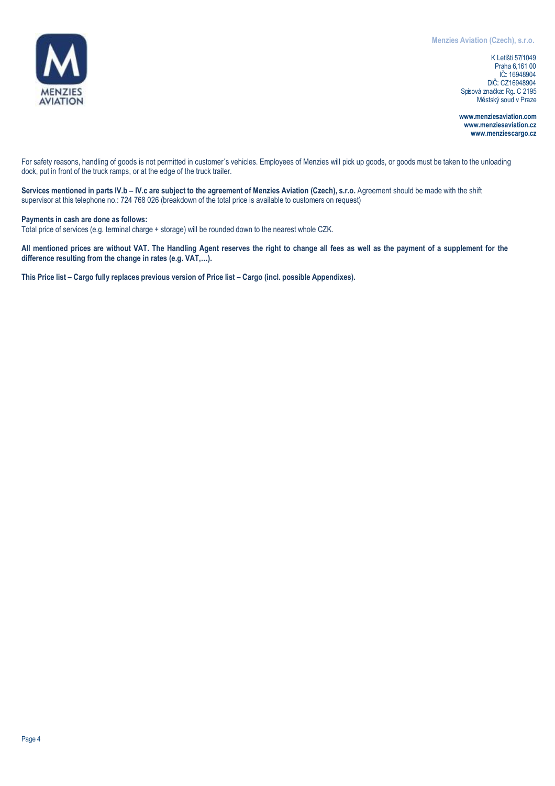

K Letišti 57/1049 Praha 6, 161 00 IČ:: 16948904 DIČ:: CZ16948904 Spisová značka: Rg. C 2195 Městský soud v Praze

**[www.menziesaviation.com](http://www.menziesaviation.com/) [www.menziesaviation.cz](http://www.menziesaviation.cz/) www.menziescargo.cz**

For safety reasons, handling of goods is not permitted in customer´s vehicles. Employees of Menzies will pick up goods, or goods must be taken to the unloading dock, put in front of the truck ramps, or at the edge of the truck trailer.

Services mentioned in parts IV.b - IV.c are subject to the agreement of Menzies Aviation (Czech), s.r.o. Agreement should be made with the shift supervisor at this telephone no.: 724 768 026 (breakdown of the total price is available to customers on request)

**Payments in cash are done as follows:**

Total price of services (e.g. terminal charge + storage) will be rounded down to the nearest whole CZK.

**All mentioned prices are without VAT. The Handling Agent reserves the right to change all fees as well as the payment of a supplement for the difference resulting from the change in rates (e.g. VAT,…).**

**This Price list – Cargo fully replaces previous version of Price list – Cargo (incl. possible Appendixes).**